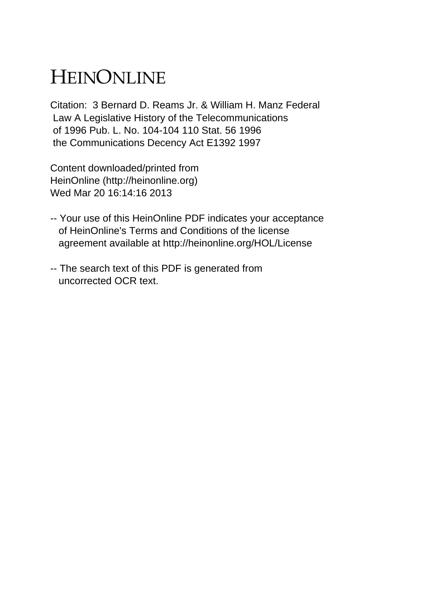# HEINONLINE

Citation: 3 Bernard D. Reams Jr. & William H. Manz Federal Law A Legislative History of the Telecommunications of 1996 Pub. L. No. 104-104 110 Stat. 56 1996 the Communications Decency Act E1392 1997

Content downloaded/printed from HeinOnline (http://heinonline.org) Wed Mar 20 16:14:16 2013

- -- Your use of this HeinOnline PDF indicates your acceptance of HeinOnline's Terms and Conditions of the license agreement available at http://heinonline.org/HOL/License
- -- The search text of this PDF is generated from uncorrected OCR text.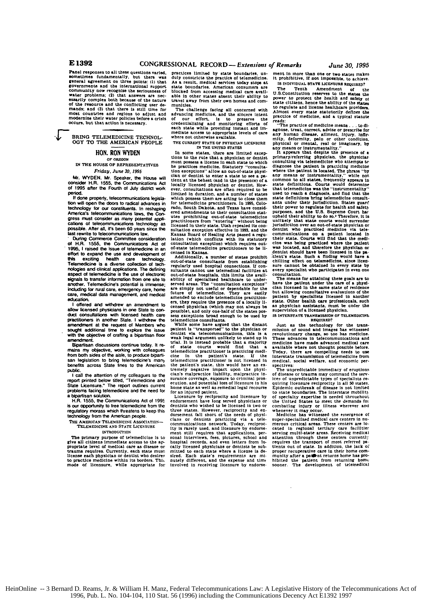Panel responses to all these questions varied,<br>constructions of the constant and the value of the value<br>general agreement on three points: (i) that<br>general agreement on three points: (i) that<br>community now recognise the se most countries and regions to **adjust** and modernize their water policies before a crisis occurs. but that action **is** necessary.

# **•** 7 BRING TELEMEDICINE **TECHNOL-**OGY TO **THE AMERICAN** PEOPLE

#### **HON.** RON **WYDEN**

**OF** *OREGON*

**IN THE HOUSE OF REPRESENTATIVES Friday,** June **30. 1995**

**Mr. WYDEN. Mr. Speaker. the House will** consider H.R. **1555,** the **Cormurnicatiorm Act** of **1995 after** the Fourth of July **distict** work period.

**If** done property. telecommunications legisla-**hon** will open the **doors** to radical advances in **technology for our constituents. in reshaping** America's telecommunications laws, the Con**gress must consider** as many potential appli-**cations Of telecommunications technology as** possible. After all. **it's** been **60 years since the** last rewrite **to** telecommunications law.

**During Commerce Committee consideration of H.R. 1555. the Communications Act of 1995, I raised the** issue **of** telemedicine **in** an **effort to expand the use and development of this** exciting health care technology. **Telemedicine is a diverse collection of technologies and clinical applications. The defining** aspect of **telemedicine is the use of** electronic **signals** to **transfer infenation from one site to** another. Telemedicine's potential **is** immense; **including for nrual care, emergency care, home care, medical data management, and medical** education.

**I** offered and withdrew an amendment to **allow licensed** physicians in one State to con**duct** consultations with licensed heath care practitioners in another Slate. **I** withdrew the amendment at the request of Members who **Sought** additional time to **explore the** issue with the objective **of** crafting a bipartisan floor amendment

Bipartisan discussions continue today. It remains my objective, working with colleagues<br>from both sides of the aisle, to produce biparti-<br>san legislation to bring telemedicine's many<br>benefits across State lines to the American public.

**I** call the attention **of** my colleagues to the report printed below titled. "Telemedicine **and State** Licensure." The report outlines **current** problems facing telemedicine and **the** need **for a** bipartisan solution.

**H.R. 1555.** the Communications Act **of 1995** is our opportunity **to** free telemedicine from the regulatory morass which threatens **to** keep this technology from the American people.

**THE AMERICAN TELEMEDICINt ASSOCIATION-TrELEMEDICINE AND STATE** LicENSURE **INTRODUCrION**

The primary purpose of telemedicine **is** to give all citizens immediate access to the ap- propriate level of medical **care as** disease or **trauma** requires. Currently. each state must. license each physician or dentist who desires to practice medicine within Its borders. **Tbhi** mode **of** licensure. while appropriate fox

practices limited **by** state boundaries, un-duly constricts the practice of telemedicine. **As** a result, medical **services** today stops at state boundaries. American consumers are blocked from accessing medical **care avail**able **In** other states absent their ability **to** travel away from their own homes and com-

munities.<br>The challenge facing all concerned with<br>advancing medicine, and the sincere intent<br>of our effort, is to preserve the<br>credentializing and monitoring efforts of each state while providing instant and **im-** mediate access to appropriate levels of **care** where not otherwise available.

# THE CURRENT STATE OF PHYSICIAN LICENSURE<br>**IN THE UNITED STATES**

IN THE UNITED STATES<br>In some states, there are limited exceptions to the rule that a physician or dentist<br>must possess a license in each state to which<br>the practices medicine. Statutory "consulta-<br>tion exceptions "allow an clan or dentist to enter a state to see a particular<br>tient at the behest (and in the presence) of a<br>locally licensed physician or dentist. How-<br>ever, consultations are often required to be<br>limited in duration, and a numbe rado, South Dakota, and Texas have considered amendments to their consultation state<br>utes prohibiting out-of-state telemedicine<br>utes prohibiting out-of-state telemedicine<br>practitioners from "entering" without being<br>license sultation exception effective in 1993, and the<br>Kansas Board of Healing Arts passed a regu-<br>lation **(which conflicts with its statutory**<br>consultation exception) which requires outof-state telemedicine practitioners to be **li-**

censed in Kansas.<br>Additionally, a number of states prohibit<br>out-of-state consultants from establishing<br>regularly used hospital connections. If con-<br>sultants cannot use telemedical facilities at<br>out-of-state hospitals, this ability of specialized healthcare to under-served areas. The "consultation exceptions" are simply not useful or dependable for the served areas. The consultation exceptions<br>there is the product of the consultant future of telemedicine. They are easily<br>amended to exclude telemedicine practitioners, they require the presence of a locally li-<br>censed physician (which may not always be<br>possible), and only one-half of the states pos-<br>seas exceptions broad enough to be used by

telemedicine consultants. While some have argued that the distant patient **Is** "transported" **to** the physician or dentist via telecommunications, this **Is** <sup>a</sup> weak legal argument unlikely **to** stand up in trial. It is instead probable that a majority<br>of state courts would find that a majority<br>of state courts would find that a<br>telemedicine practitioner is practicing medi-<br>telemedicine practitioner is not licensed in<br>the patt

Licensure **by** reciprocity and licensure **by** endorsement have long served physicians or dentists who wished to be licensed in two or **three** states. **However.** reciprocity and en-dorsement **fall** short of the needs of physiclans or dentists practicing via a tele-communications network. Today. reciproc-ity **is** rarely used. and licensure **by** endorse. ment still requires that applications, per**sonal** interviews, fees. pictures. school and hospital records, and even letters from **lo**cally licensed physicians or dentists be sub-<br>mitted to each state where a license is de-<br>sired. Each state's requirements are mi-<br>nucly different, and the expense and time<br>involved in receiving licensure by endorsement in more than **one** or **two** states makes It prohibitive. **if** not **Impossible.** to achieve. **15 INDIVIDUAL STATE LICENeSURE** *REUlRgD?*

The Tenth Amendment **of** the U.S.Constitution reserves to the **states** the power to protect the health **and safety O** state citizens. hence the ability of the **states** to regulate and license healthcare providers. Almost every *state* statutorily defines the practice **of** medicine, and a typical statute reads

The practice of medicine means **...** to **dI**agnose, treat, correct, advise or prescribe for **any** human **disease.** *aliment, injury. infir.* mIty. deformity, pain or other condition.

physical or mental, real or imaginary, by<br>any means or instrumentality."<br>It appears that despite the presence of a<br>primary/referring physician. the . physician<br>consulting via telemedicine who attempts to<br>diagnose the patie state definitions bring telementicine consult-<br>state definitions bring telementicine. States guard<br>their power to regulate for health and safety,<br>purposes, and the U.S. Supreme Court har<br>unhiled their ability to do so. The dentist should have been licensed in the pathern's state. Such a finding would have a chilling effect on telemedicine, since licentially children cannot be obtained in every state by every specialist who participates in ev

consultation.<br>The means for attaining these goals are to<br>have the patient under the care of a physician licensed in the same state of residence<br>but allowing consultative evaluations of the patient **by** specialists licensed **in** another state. Other health **care** professionals, such as physician assistants, must be under the supervision of a licensed physician.

**i INTERSTATE TRANSMISSION OF TELEMEDICN. REQUIRED?**

Just as the technology for the transmission of sound and images has witnessed<br>revolutionary change, so too has medicine.<br>These advances in telecommunications and find the medicine have made advanced medical care<br>available interstate transmission of telemedlcine from medical, **social** welfare. **and** economic per-spectlves:

The unpredictable immediacy of eruptions of disease or trauma **may** command the serv-ices of unpredictable types of specialists **re**quiring licensure reciprocity in all 50 states.<br>Epidemic outbreak of disease is not limited<br>to state boundaries. The interstate mobility

of specialty expertise is needed throughout<br>the United States to meet the demands for<br>combating injury or illness wherever and<br>whenever it may occur.<br>Whenever is majoccur.<br>Medicine has withersed the emergence of<br>super-spec serving mult-state areas. Receiving medical attention through these centers currently requires the transport of most referred po. tients out of state. In addition, the lack of<br>proper recuperative care in their home com-<br>munity after a pattent returns home has pro-<br>hibited the patient from returning home.<br>Sooner. The development of telemedical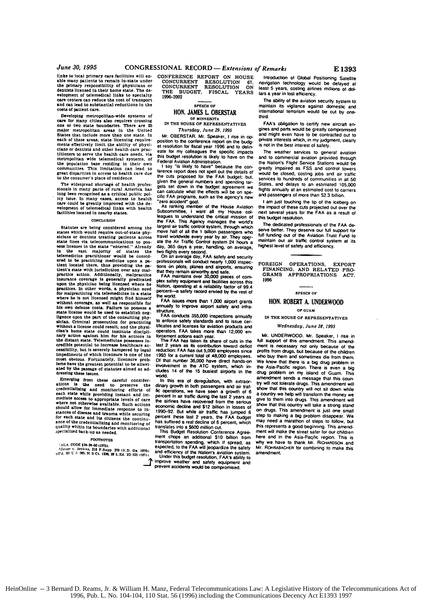lnks to local primary **care** facilities will en. able many patients to remain In-state under the primary responsibility of physicians or<br>dentists licensed in their home state. The de-<br>velopment of telemedical links to specialty **care** centers can reduce the cost **of** transport and can lead to substantial reductions in the

**costs** of patient **care.** care for many cities also requires crossing<br>one or two state boundaries. There are 25 one or two state boundaries. There are 25 major metropolitan areas in the United States that include **more** than one state. **In** each **of** these **areas,** state licensing requirementas effectively limit the ability **of** physicians or dentists and other health care **prac**titioners **to** serve the health care needs, via metropolitan wide telemedical systems, **of** the population base residing in their own communities. **This** limitation can lead to great disparities **In** access to health care due to the consumer's place of residence.

The widespread shortage of health profes-<br>sionals in many parts of rural America has sionals in many pacts of rural America has long been recognized **as a** critical public pol. icy issue. In many **cases,** access to health **care** could be greatly improved with the de- velopment of telemedical links with health velopment of telemental finals v<br>facilities located in nearby states.

#### **CONCLUSION**

Statutes are being considered among the states which would require out-of-state physical<br>signals of elements states paraleles states in state interest state in<br>easy state in the state of the state interest of possible<br>mea practice action. Additionally, malpractice<br>insurance coverage is generally predicated<br>upon the physician being licensed where he Insurance coverage is a physician such for malpracticing via telemedicine in a state for malpracticing via telemedicine in a state where he is not licensed might find himself without coverage, as well as responsible for<br>the own defense costs. Failure to possess a<br>stab license would be used to establish neg-<br>stab license would be used to establish neg-<br>ligence upon the part of the consulting phy impediments of which licensure is one of the<br>most obvious. Fortunately, licensure prob-<br>lems have the greatest potential to be allevi-<br>lems have the greatest potential to be allevi-<br>ated by the passage of statutes aimed at

Energing from these careful considerations is the need to preserve the creditalizing and monitoring efforts of each state while providing instant and im-<br>method and monitoring efforts of the same providing instant and im-<br> should allow for immediate response to in-<br>stances of disease and transmittee serving<br>for each state and its citizens the continu-<br>for each state and its citizens the continu-<br>quality within its boundaries with additional<br>

#### **FOOTNOTES**

**ALA. CODE 134-24-50 (1975).**<br>*GCioer V. Jenkina***, 316 F.Supp. 370 (N.D. Oa. 1970).<br>Affd. 0! U-S-985. 91 S.Ct. 1236, 28 L.Ed. 2D 525 (1971).** 

CONFERENCE REPORT ON **HOUSE CONCURRENT** RESOLUTION **67. CONCURRENT** RESOLUTION **ON** THE **BUDGET, FISCAL** YEARS **1996-2002**

## **SPEECH OF HON. JAMES** L OBERSTAR **OF MINNESOTA**

# **IN THE HOUSE** OF REPRESENTATIVES

*Thursday,* June *29. 1995* position to the conference report on the budg**t** resolution **for fiscal** year **1996** and **to** delineate for my colleagues the specific impacts **this** budget resolution is **likely to have** on the Federal Aviation Administration.<br>I say "is likely to have" because the con-

**<sup>I</sup>say "is** likely **to have"** because the con- ference report does not spell out **the** details **of** the cuts **Proposed for the FAA** budget; but, **given** the general numbers and spending tar-gets **set** down **in the** budget agreement we **can** calculate what the effects will be on **specific FAA** Programs, such as the agency's new zero accident" goal.<br>As ranking member of the House Aviation

As ranking member of the House Aviation<br>Subcommittee, I want all my House col-<br>leagues to understand the critical mission of<br>the FAA. This Agency manages the world's<br>largest air traffic control system, through which **move** hall **of all** the t billion **passengers** who **travel** worldwide **every** year **by** air. They opqr-ate the Air Traffic Cor'ol system **24** hours a

day, 365 days a year, handling, on average,<br>two flights every second.<br>Con an average day, FAA safety and security<br>professionals will conduct nearly 1,000 inspec-<br>tions on pilots, planes and airports, ensuring

that **they** remain airworthy **and** safe. **FAA** maintains over **30,000** pieces of **com**plex **safety** equipment and facilities across this **Nation,** operalig at a reliability factor **of** 99.4 percen-a **safety** record envied **by** the rest **of the** world.

**FAA** issues more than **1,000** airport grants annually to improve aiport safety **and** infrastructur<sup>.</sup>

**FAA** conducts **355.000** inspections annually to enforce safety standards **and** to issue **cr**tificates and **licenses** for aviation products and operators. **FAA takes** more **than** 12,000 en-

forcement actions each year. The **FAA** has taken its **share of** Cuts in the last 2 years **as its** contribution toward defcit reduction: **FAA** has cut **5.000** employees since **1993** for a current total of 48.000 employees. **Of** that number **36,000** have direct hands-on involvement **in** the **ATC system, which in**cludes 14 **of the 15** busiest airports in **the** world.

In this era of deregulation, with extraordinary growth in both passengers and air traf**fc** operations, we have seen a growth of **6** percent in air traffic during the last 2 years as the airlines have recovered from **the** serious economic decline **and \$12** billion in **losses o 1990-92. Bt** while air traffic has jumped **6** percent these **last** 2 years, the **FAA** budget has suffered a real decline of **6** percent, which translates into a **\$600 million** cut. This Budget Resolution Conference Agree-

ment chops an additional **\$10** billion from transportation spending, which if spread, as **expected,** to the **FAA** will jeopardize the safely **and** efficiency **of** the Nation's aviation system. tUnder this budget resolution, FAA's ability to improve weather **and** safety equipment and

improve weather and safety equipment and prevent accidents would be compromised.

Introduction of Global Positioning Satellite navigation technology would be delayed at least **5** years, costing airlines millions of **dol lars** a year **in** lost efficiency.

The ability of the aviation security system **to** maintain its vigilance **against** domestic and international terrorism would be cut by one third.

**FAA's** obligation to certify new aircraft **en** gines and **parts** would be greatly compromised and might even have to be contracted out to private interests which, in my judgment, clearly is not in the best interest of **safety.**

The weather services to general aviation ard to commercial aviation provided through the Nation's Flight Service Stations would be greatly impaired as **FSS** and control **towers** would be closed, costing jobs and air traffic<br>services to hundreds of communities in all 50 services **to** hundreds **of** communities **in all <sup>50</sup>** States, **and** delays to an estimated **105,000** flights annually at **an** estimated **cost** to carriers and passengers **of more** than **S2.3** billion.

**<sup>I</sup>**am **just** touching the **tip** of the iceberg on the impact of these cuts projected out over the next several years for the **FAA** as a result **of** this budget resolution.

The dedicated professionals of the **FAA** de serve better. They deserve our full support for **full** funding out of the Aviation Trust Fund **to** maintain our air traffic control system at its highest level **of** safety and efficiency.

**FOREIGN OPERATIONS,** EXPORT FINANCING. AND RELATED PRO-GRAMS APPROPRIATIONS ACT, **1996**

#### **SPEECH OF**

#### **HON.** ROBERT **A.** UNDERWOOD

*OF* **GUAM**

### **IN** THE **HOUSE** OF REPRESENTATIVES

*Wednesday. June 28, 1995*

*Mr.* **UNDERWOOD.** Mr. Speaker. **I** rise **in ll** support **of this** amendment. This amend- ment is necessary not **only** because **of** the **profits** from drugs, but because **of** the **children** We know that there is a big drug problem in<br>the Asia-Pacific region. There is even a big<br>drug problem on my island of Guam. This<br>amendment sends a message that this country will not tolerate drugs. **This** amendment will a country we help will transtorm the money we give to them into drugs. This amendment will<br>show that this country will take a strong stand show that this country **will** take a strong stand on drugs. **This** amendment is just one small step to making a **big** problem disappear. We may need a marathon of steps to follow, but this represents a **good** beginning. This amendhere and in the Asia-Pacific region. This is why we have to thank Mr. Richardson and **Wr. ROHRABACHER for combining to make this** amendment.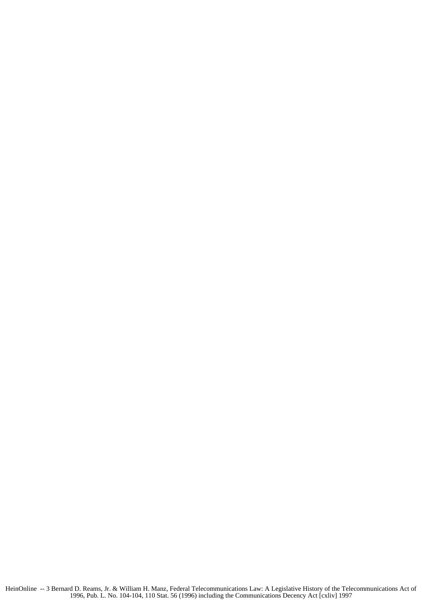HeinOnline -- 3 Bernard D. Reams, Jr. & William H. Manz, Federal Telecommunications Law: A Legislative History of the Telecommunications Act of 1996, Pub. L. No. 104-104, 110 Stat. 56 (1996) including the Communications Decency Act [cxliv] 1997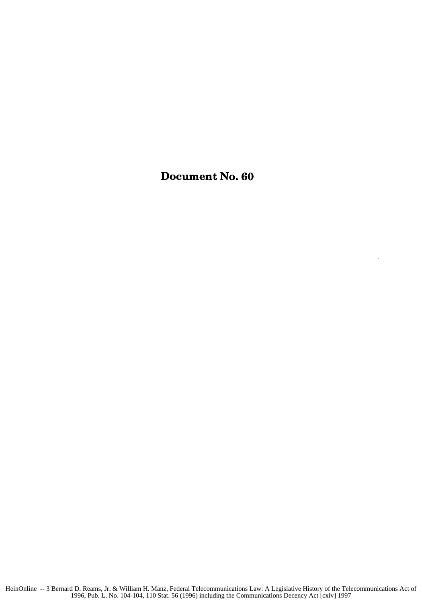Document No. **60**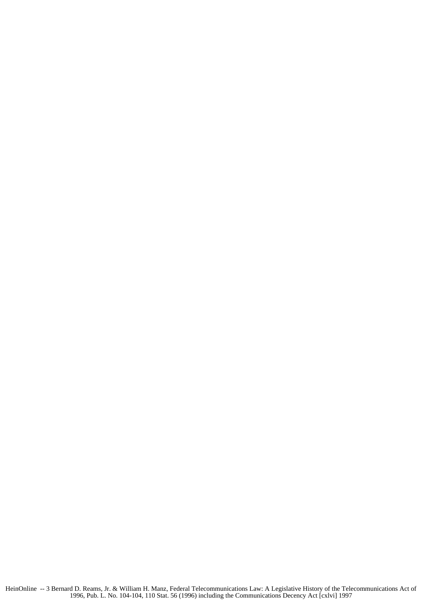HeinOnline -- 3 Bernard D. Reams, Jr. & William H. Manz, Federal Telecommunications Law: A Legislative History of the Telecommunications Act of 1996, Pub. L. No. 104-104, 110 Stat. 56 (1996) including the Communications Decency Act [cxlvi] 1997